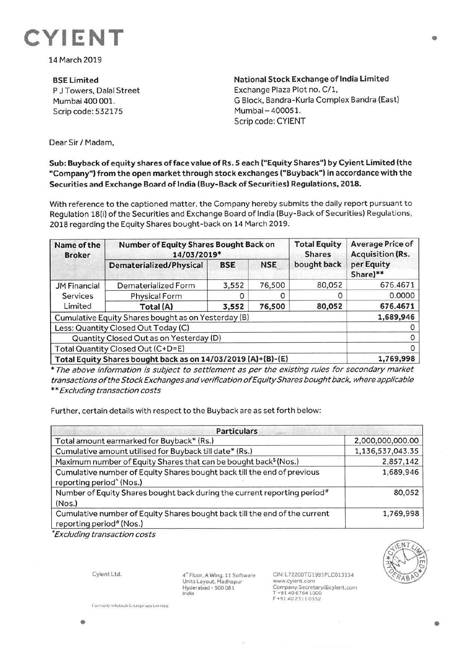

14 March 2019

**BSELimited**  P J Towers, Dalal Street Mumbai 400 001. Scrip code: 532175

**National Stock Exchange of India Limited**  Exchange Plaza Plot no. C/1, G Block, Bandra-Kurla Complex Sandra (East) Mumbai- 400051. Scrip code: CYIENT

Dear Sir/ Madam,

## **Sub: Buyback of equity shares offace value of Rs. 5 each ("Equity Shares") by Cyient Limited (the "Company") from the open market through stock exchanges ("Buyback") in accordance with the Securities and Exchange Board of India (Buy-Back of Securities) Regulations, 2018.**

With reference to the captioned matter, the Company hereby submits the daily report pursuant to Regulation 18(i) of the Securities and Exchange Board of India (Buy-Back of Securities) Regulations, 2018 regarding the Equity Shares bought-back on 14 March 2019.

| Name of the<br><b>Broker</b>                                 | Number of Equity Shares Bought Back on<br>14/03/2019* |            |            | <b>Total Equity</b><br><b>Shares</b> | <b>Average Price of</b><br><b>Acquisition (Rs.</b> |
|--------------------------------------------------------------|-------------------------------------------------------|------------|------------|--------------------------------------|----------------------------------------------------|
|                                                              | Dematerialized/Physical                               | <b>BSE</b> | <b>NSE</b> | bought back                          | per Equity<br>Share)**                             |
| <b>JM Financial</b>                                          | Dematerialized Form                                   | 3,552      | 76,500     | 80,052                               | 676.4671                                           |
| <b>Services</b><br>Limited                                   | <b>Physical Form</b>                                  |            |            | O                                    | 0.0000                                             |
|                                                              | Total (A)                                             | 3,552      | 76,500     | 80,052                               | 676.4671                                           |
| Cumulative Equity Shares bought as on Yesterday (B)          |                                                       |            |            |                                      | 1,689,946                                          |
| Less: Quantity Closed Out Today (C)                          |                                                       |            |            |                                      |                                                    |
| Quantity Closed Out as on Yesterday (D)                      |                                                       |            |            |                                      |                                                    |
| Total Quantity Closed Out (C+D=E)                            |                                                       |            |            |                                      |                                                    |
| Total Equity Shares bought back as on 14/03/2019 (A)+(B)-(E) |                                                       |            |            |                                      | 1,769,998                                          |

\* The above information is subject to settlement as per the existing rules for secondary market transactions oft he Stock Exchanges and verification of Equity Shares bought back, where applicable \*\* Excluding transaction costs

Further, certain details with respect to the Buyback are as set forth below:

| <b>Particulars</b>                                                                                                 |                  |  |  |  |
|--------------------------------------------------------------------------------------------------------------------|------------------|--|--|--|
| Total amount earmarked for Buyback* (Rs.)                                                                          | 2,000,000,000.00 |  |  |  |
| Cumulative amount utilised for Buyback till date* (Rs.)                                                            | 1,136,537,043.35 |  |  |  |
| Maximum number of Equity Shares that can be bought back <sup>\$</sup> (Nos.)                                       | 2,857,142        |  |  |  |
| Cumulative number of Equity Shares bought back till the end of previous<br>reporting period <sup>^</sup> (Nos.)    | 1,689,946        |  |  |  |
| Number of Equity Shares bought back during the current reporting period#<br>(Nos.)                                 | 80,052           |  |  |  |
| Cumulative number of Equity Shares bought back till the end of the current<br>reporting period <sup>#</sup> (Nos.) | 1,769,998        |  |  |  |

• Excluding transaction costs

Cyient Ltd.

**4"** Floor, **A** Wing, 11 Software Units Layout, Madhapur Hyderabad - 500 081 India

CIN: L72200TG1991PLC013134 www.cyient.com Company.Secretary®cylent.com T +91 40 6764 1000 F +91402311 0352



•

•